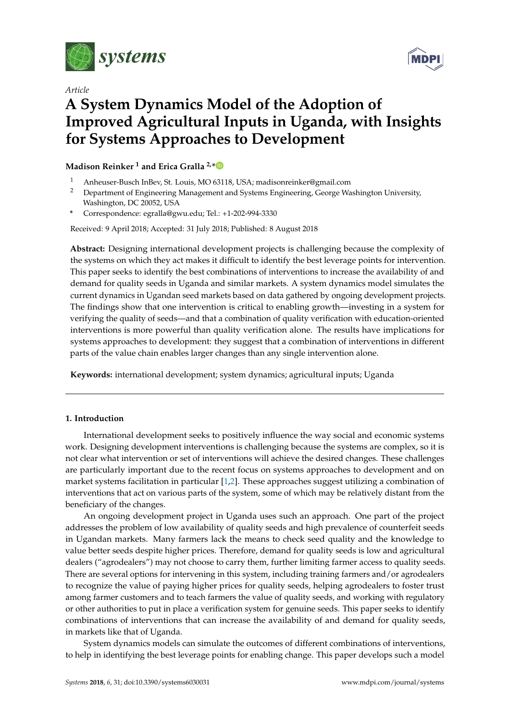

*Article*

# **MDPI**

# **A System Dynamics Model of the Adoption of Improved Agricultural Inputs in Uganda, with Insights for Systems Approaches to Development**

**Madison Reinker <sup>1</sup> and Erica Gralla 2,[\\*](https://orcid.org/0000-0001-7942-7709)**

- <sup>1</sup> Anheuser-Busch InBev, St. Louis, MO 63118, USA; madisonreinker@gmail.com<br><sup>2</sup> Department of Engineering Management and Systems Engineering George Wa
- <sup>2</sup> Department of Engineering Management and Systems Engineering, George Washington University, Washington, DC 20052, USA
- **\*** Correspondence: egralla@gwu.edu; Tel.: +1-202-994-3330

Received: 9 April 2018; Accepted: 31 July 2018; Published: 8 August 2018

**Abstract:** Designing international development projects is challenging because the complexity of the systems on which they act makes it difficult to identify the best leverage points for intervention. This paper seeks to identify the best combinations of interventions to increase the availability of and demand for quality seeds in Uganda and similar markets. A system dynamics model simulates the current dynamics in Ugandan seed markets based on data gathered by ongoing development projects. The findings show that one intervention is critical to enabling growth—investing in a system for verifying the quality of seeds—and that a combination of quality verification with education-oriented interventions is more powerful than quality verification alone. The results have implications for systems approaches to development: they suggest that a combination of interventions in different parts of the value chain enables larger changes than any single intervention alone.

**Keywords:** international development; system dynamics; agricultural inputs; Uganda

# **1. Introduction**

International development seeks to positively influence the way social and economic systems work. Designing development interventions is challenging because the systems are complex, so it is not clear what intervention or set of interventions will achieve the desired changes. These challenges are particularly important due to the recent focus on systems approaches to development and on market systems facilitation in particular [\[1](#page-25-0)[,2\]](#page-25-1). These approaches suggest utilizing a combination of interventions that act on various parts of the system, some of which may be relatively distant from the beneficiary of the changes.

An ongoing development project in Uganda uses such an approach. One part of the project addresses the problem of low availability of quality seeds and high prevalence of counterfeit seeds in Ugandan markets. Many farmers lack the means to check seed quality and the knowledge to value better seeds despite higher prices. Therefore, demand for quality seeds is low and agricultural dealers ("agrodealers") may not choose to carry them, further limiting farmer access to quality seeds. There are several options for intervening in this system, including training farmers and/or agrodealers to recognize the value of paying higher prices for quality seeds, helping agrodealers to foster trust among farmer customers and to teach farmers the value of quality seeds, and working with regulatory or other authorities to put in place a verification system for genuine seeds. This paper seeks to identify combinations of interventions that can increase the availability of and demand for quality seeds, in markets like that of Uganda.

System dynamics models can simulate the outcomes of different combinations of interventions, to help in identifying the best leverage points for enabling change. This paper develops such a model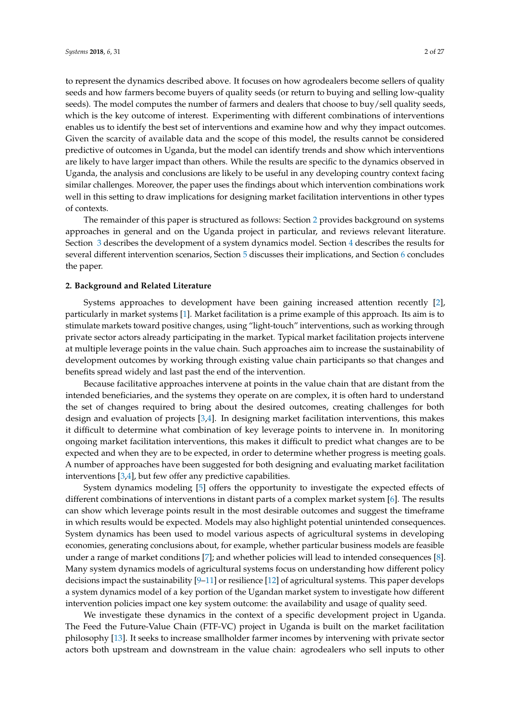to represent the dynamics described above. It focuses on how agrodealers become sellers of quality seeds and how farmers become buyers of quality seeds (or return to buying and selling low-quality seeds). The model computes the number of farmers and dealers that choose to buy/sell quality seeds, which is the key outcome of interest. Experimenting with different combinations of interventions enables us to identify the best set of interventions and examine how and why they impact outcomes. Given the scarcity of available data and the scope of this model, the results cannot be considered predictive of outcomes in Uganda, but the model can identify trends and show which interventions are likely to have larger impact than others. While the results are specific to the dynamics observed in Uganda, the analysis and conclusions are likely to be useful in any developing country context facing similar challenges. Moreover, the paper uses the findings about which intervention combinations work well in this setting to draw implications for designing market facilitation interventions in other types of contexts.

The remainder of this paper is structured as follows: Section [2](#page-1-0) provides background on systems approaches in general and on the Uganda project in particular, and reviews relevant literature. Section [3](#page-2-0) describes the development of a system dynamics model. Section [4](#page-11-0) describes the results for several different intervention scenarios, Section [5](#page-18-0) discusses their implications, and Section [6](#page-20-0) concludes the paper.

#### <span id="page-1-0"></span>**2. Background and Related Literature**

Systems approaches to development have been gaining increased attention recently [\[2\]](#page-25-1), particularly in market systems [\[1\]](#page-25-0). Market facilitation is a prime example of this approach. Its aim is to stimulate markets toward positive changes, using "light-touch" interventions, such as working through private sector actors already participating in the market. Typical market facilitation projects intervene at multiple leverage points in the value chain. Such approaches aim to increase the sustainability of development outcomes by working through existing value chain participants so that changes and benefits spread widely and last past the end of the intervention.

Because facilitative approaches intervene at points in the value chain that are distant from the intended beneficiaries, and the systems they operate on are complex, it is often hard to understand the set of changes required to bring about the desired outcomes, creating challenges for both design and evaluation of projects [\[3](#page-25-2)[,4\]](#page-25-3). In designing market facilitation interventions, this makes it difficult to determine what combination of key leverage points to intervene in. In monitoring ongoing market facilitation interventions, this makes it difficult to predict what changes are to be expected and when they are to be expected, in order to determine whether progress is meeting goals. A number of approaches have been suggested for both designing and evaluating market facilitation interventions [\[3,](#page-25-2)[4\]](#page-25-3), but few offer any predictive capabilities.

System dynamics modeling [\[5\]](#page-25-4) offers the opportunity to investigate the expected effects of different combinations of interventions in distant parts of a complex market system [\[6\]](#page-25-5). The results can show which leverage points result in the most desirable outcomes and suggest the timeframe in which results would be expected. Models may also highlight potential unintended consequences. System dynamics has been used to model various aspects of agricultural systems in developing economies, generating conclusions about, for example, whether particular business models are feasible under a range of market conditions [\[7\]](#page-25-6); and whether policies will lead to intended consequences [\[8\]](#page-25-7). Many system dynamics models of agricultural systems focus on understanding how different policy decisions impact the sustainability [\[9–](#page-25-8)[11\]](#page-25-9) or resilience [\[12\]](#page-25-10) of agricultural systems. This paper develops a system dynamics model of a key portion of the Ugandan market system to investigate how different intervention policies impact one key system outcome: the availability and usage of quality seed.

We investigate these dynamics in the context of a specific development project in Uganda. The Feed the Future-Value Chain (FTF-VC) project in Uganda is built on the market facilitation philosophy [\[13\]](#page-25-11). It seeks to increase smallholder farmer incomes by intervening with private sector actors both upstream and downstream in the value chain: agrodealers who sell inputs to other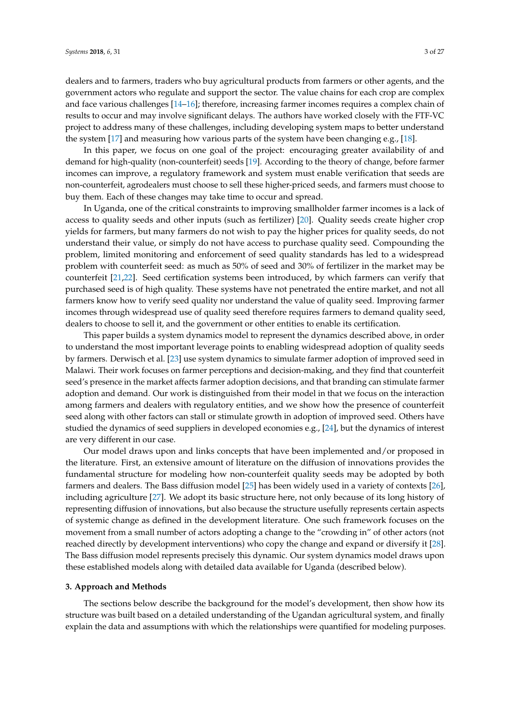dealers and to farmers, traders who buy agricultural products from farmers or other agents, and the government actors who regulate and support the sector. The value chains for each crop are complex and face various challenges [\[14–](#page-25-12)[16\]](#page-25-13); therefore, increasing farmer incomes requires a complex chain of results to occur and may involve significant delays. The authors have worked closely with the FTF-VC project to address many of these challenges, including developing system maps to better understand the system [\[17\]](#page-25-14) and measuring how various parts of the system have been changing e.g., [\[18\]](#page-25-15).

In this paper, we focus on one goal of the project: encouraging greater availability of and demand for high-quality (non-counterfeit) seeds [\[19\]](#page-25-16). According to the theory of change, before farmer incomes can improve, a regulatory framework and system must enable verification that seeds are non-counterfeit, agrodealers must choose to sell these higher-priced seeds, and farmers must choose to buy them. Each of these changes may take time to occur and spread.

In Uganda, one of the critical constraints to improving smallholder farmer incomes is a lack of access to quality seeds and other inputs (such as fertilizer) [\[20\]](#page-25-17). Quality seeds create higher crop yields for farmers, but many farmers do not wish to pay the higher prices for quality seeds, do not understand their value, or simply do not have access to purchase quality seed. Compounding the problem, limited monitoring and enforcement of seed quality standards has led to a widespread problem with counterfeit seed: as much as 50% of seed and 30% of fertilizer in the market may be counterfeit [\[21,](#page-25-18)[22\]](#page-25-19). Seed certification systems been introduced, by which farmers can verify that purchased seed is of high quality. These systems have not penetrated the entire market, and not all farmers know how to verify seed quality nor understand the value of quality seed. Improving farmer incomes through widespread use of quality seed therefore requires farmers to demand quality seed, dealers to choose to sell it, and the government or other entities to enable its certification.

This paper builds a system dynamics model to represent the dynamics described above, in order to understand the most important leverage points to enabling widespread adoption of quality seeds by farmers. Derwisch et al. [\[23\]](#page-26-0) use system dynamics to simulate farmer adoption of improved seed in Malawi. Their work focuses on farmer perceptions and decision-making, and they find that counterfeit seed's presence in the market affects farmer adoption decisions, and that branding can stimulate farmer adoption and demand. Our work is distinguished from their model in that we focus on the interaction among farmers and dealers with regulatory entities, and we show how the presence of counterfeit seed along with other factors can stall or stimulate growth in adoption of improved seed. Others have studied the dynamics of seed suppliers in developed economies e.g., [\[24\]](#page-26-1), but the dynamics of interest are very different in our case.

Our model draws upon and links concepts that have been implemented and/or proposed in the literature. First, an extensive amount of literature on the diffusion of innovations provides the fundamental structure for modeling how non-counterfeit quality seeds may be adopted by both farmers and dealers. The Bass diffusion model [\[25\]](#page-26-2) has been widely used in a variety of contexts [\[26\]](#page-26-3), including agriculture [\[27\]](#page-26-4). We adopt its basic structure here, not only because of its long history of representing diffusion of innovations, but also because the structure usefully represents certain aspects of systemic change as defined in the development literature. One such framework focuses on the movement from a small number of actors adopting a change to the "crowding in" of other actors (not reached directly by development interventions) who copy the change and expand or diversify it [\[28\]](#page-26-5). The Bass diffusion model represents precisely this dynamic. Our system dynamics model draws upon these established models along with detailed data available for Uganda (described below).

#### <span id="page-2-0"></span>**3. Approach and Methods**

The sections below describe the background for the model's development, then show how its structure was built based on a detailed understanding of the Ugandan agricultural system, and finally explain the data and assumptions with which the relationships were quantified for modeling purposes.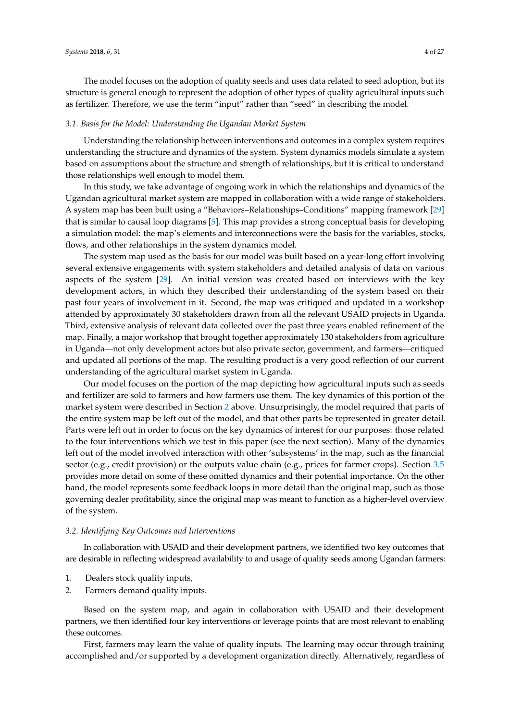The model focuses on the adoption of quality seeds and uses data related to seed adoption, but its structure is general enough to represent the adoption of other types of quality agricultural inputs such as fertilizer. Therefore, we use the term "input" rather than "seed" in describing the model.

#### <span id="page-3-0"></span>*3.1. Basis for the Model: Understanding the Ugandan Market System*

Understanding the relationship between interventions and outcomes in a complex system requires understanding the structure and dynamics of the system. System dynamics models simulate a system based on assumptions about the structure and strength of relationships, but it is critical to understand those relationships well enough to model them.

In this study, we take advantage of ongoing work in which the relationships and dynamics of the Ugandan agricultural market system are mapped in collaboration with a wide range of stakeholders. A system map has been built using a "Behaviors–Relationships–Conditions" mapping framework [\[29\]](#page-26-6) that is similar to causal loop diagrams [\[5\]](#page-25-4). This map provides a strong conceptual basis for developing a simulation model: the map's elements and interconnections were the basis for the variables, stocks, flows, and other relationships in the system dynamics model.

The system map used as the basis for our model was built based on a year-long effort involving several extensive engagements with system stakeholders and detailed analysis of data on various aspects of the system [\[29\]](#page-26-6). An initial version was created based on interviews with the key development actors, in which they described their understanding of the system based on their past four years of involvement in it. Second, the map was critiqued and updated in a workshop attended by approximately 30 stakeholders drawn from all the relevant USAID projects in Uganda. Third, extensive analysis of relevant data collected over the past three years enabled refinement of the map. Finally, a major workshop that brought together approximately 130 stakeholders from agriculture in Uganda—not only development actors but also private sector, government, and farmers—critiqued and updated all portions of the map. The resulting product is a very good reflection of our current understanding of the agricultural market system in Uganda.

Our model focuses on the portion of the map depicting how agricultural inputs such as seeds and fertilizer are sold to farmers and how farmers use them. The key dynamics of this portion of the market system were described in Section [2](#page-1-0) above. Unsurprisingly, the model required that parts of the entire system map be left out of the model, and that other parts be represented in greater detail. Parts were left out in order to focus on the key dynamics of interest for our purposes: those related to the four interventions which we test in this paper (see the next section). Many of the dynamics left out of the model involved interaction with other 'subsystems' in the map, such as the financial sector (e.g., credit provision) or the outputs value chain (e.g., prices for farmer crops). Section [3.5](#page-8-0) provides more detail on some of these omitted dynamics and their potential importance. On the other hand, the model represents some feedback loops in more detail than the original map, such as those governing dealer profitability, since the original map was meant to function as a higher-level overview of the system.

## *3.2. Identifying Key Outcomes and Interventions*

In collaboration with USAID and their development partners, we identified two key outcomes that are desirable in reflecting widespread availability to and usage of quality seeds among Ugandan farmers:

- 1. Dealers stock quality inputs,
- 2. Farmers demand quality inputs.

Based on the system map, and again in collaboration with USAID and their development partners, we then identified four key interventions or leverage points that are most relevant to enabling these outcomes.

First, farmers may learn the value of quality inputs. The learning may occur through training accomplished and/or supported by a development organization directly. Alternatively, regardless of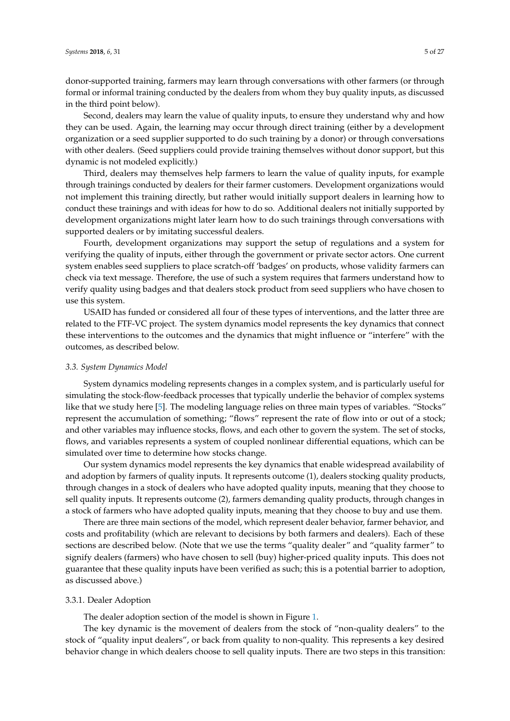donor-supported training, farmers may learn through conversations with other farmers (or through formal or informal training conducted by the dealers from whom they buy quality inputs, as discussed in the third point below).

Second, dealers may learn the value of quality inputs, to ensure they understand why and how they can be used. Again, the learning may occur through direct training (either by a development organization or a seed supplier supported to do such training by a donor) or through conversations with other dealers. (Seed suppliers could provide training themselves without donor support, but this dynamic is not modeled explicitly.)

Third, dealers may themselves help farmers to learn the value of quality inputs, for example through trainings conducted by dealers for their farmer customers. Development organizations would not implement this training directly, but rather would initially support dealers in learning how to conduct these trainings and with ideas for how to do so. Additional dealers not initially supported by development organizations might later learn how to do such trainings through conversations with supported dealers or by imitating successful dealers.

Fourth, development organizations may support the setup of regulations and a system for verifying the quality of inputs, either through the government or private sector actors. One current system enables seed suppliers to place scratch-off 'badges' on products, whose validity farmers can check via text message. Therefore, the use of such a system requires that farmers understand how to verify quality using badges and that dealers stock product from seed suppliers who have chosen to use this system.

USAID has funded or considered all four of these types of interventions, and the latter three are related to the FTF-VC project. The system dynamics model represents the key dynamics that connect these interventions to the outcomes and the dynamics that might influence or "interfere" with the outcomes, as described below.

#### *3.3. System Dynamics Model*

System dynamics modeling represents changes in a complex system, and is particularly useful for simulating the stock-flow-feedback processes that typically underlie the behavior of complex systems like that we study here [\[5\]](#page-25-4). The modeling language relies on three main types of variables. "Stocks" represent the accumulation of something; "flows" represent the rate of flow into or out of a stock; and other variables may influence stocks, flows, and each other to govern the system. The set of stocks, flows, and variables represents a system of coupled nonlinear differential equations, which can be simulated over time to determine how stocks change.

Our system dynamics model represents the key dynamics that enable widespread availability of and adoption by farmers of quality inputs. It represents outcome (1), dealers stocking quality products, through changes in a stock of dealers who have adopted quality inputs, meaning that they choose to sell quality inputs. It represents outcome (2), farmers demanding quality products, through changes in a stock of farmers who have adopted quality inputs, meaning that they choose to buy and use them.

There are three main sections of the model, which represent dealer behavior, farmer behavior, and costs and profitability (which are relevant to decisions by both farmers and dealers). Each of these sections are described below. (Note that we use the terms "quality dealer" and "quality farmer" to signify dealers (farmers) who have chosen to sell (buy) higher-priced quality inputs. This does not guarantee that these quality inputs have been verified as such; this is a potential barrier to adoption, as discussed above.)

#### <span id="page-4-0"></span>3.3.1. Dealer Adoption

The dealer adoption section of the model is shown in Figure [1.](#page-5-0)

The key dynamic is the movement of dealers from the stock of "non-quality dealers" to the stock of "quality input dealers", or back from quality to non-quality. This represents a key desired behavior change in which dealers choose to sell quality inputs. There are two steps in this transition: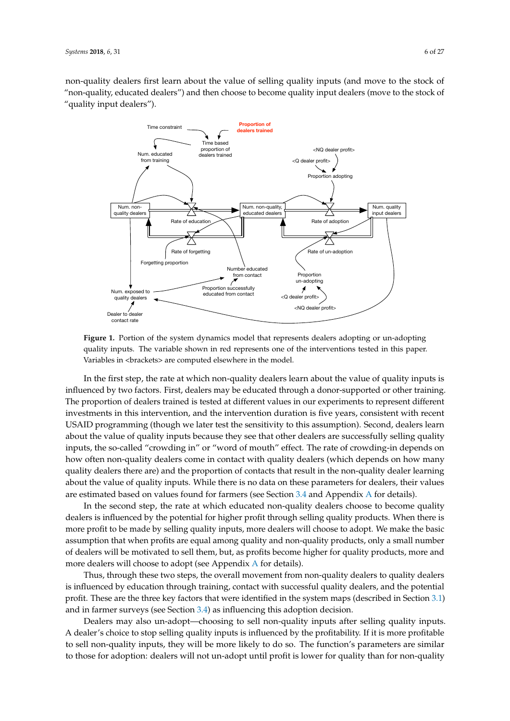non-quality dealers first learn about the value of selling quality inputs (and move to the stock of "non-quality, educated dealers") and then choose to become quality input dealers (move to the stock of "quality input dealers").

<span id="page-5-0"></span>

**Figure 1.** Portion of the system dynamics model that represents dealers adopting or un-adopting quality inputs. The variable shown in red represents one of the interventions tested in this paper. Variables in <br/>brackets> are computed elsewhere in the model.

In the first step, the rate at which non-quality dealers learn about the value of quality inputs is influenced by two factors. First, dealers may be educated through a donor-supported or other training. The proportion of dealers trained is tested at different values in our experiments to represent different investments in this intervention, and the intervention duration is five years, consistent with recent USAID programming (though we later test the sensitivity to this assumption). Second, dealers learn about the value of quality inputs because they see that other dealers are successfully selling quality inputs, the so-called "crowding in" or "word of mouth" effect. The rate of crowding-in depends on how often non-quality dealers come in contact with quality dealers (which depends on how many quality dealers there are) and the proportion of contacts that result in the non-quality dealer learning about the value of quality inputs. While there is no data on these parameters for dealers, their values are estimated based on values found for farmers (see Section [3.4](#page-8-1) and Appendix [A](#page-20-1) for details).

In the second step, the rate at which educated non-quality dealers choose to become quality dealers is influenced by the potential for higher profit through selling quality products. When there is more profit to be made by selling quality inputs, more dealers will choose to adopt. We make the basic assumption that when profits are equal among quality and non-quality products, only a small number of dealers will be motivated to sell them, but, as profits become higher for quality products, more and more dealers will choose to adopt (see Appendix [A](#page-20-1) for details).

Thus, through these two steps, the overall movement from non-quality dealers to quality dealers is influenced by education through training, contact with successful quality dealers, and the potential profit. These are the three key factors that were identified in the system maps (described in Section [3.1\)](#page-3-0) and in farmer surveys (see Section [3.4\)](#page-8-1) as influencing this adoption decision.

Dealers may also un-adopt—choosing to sell non-quality inputs after selling quality inputs. A dealer's choice to stop selling quality inputs is influenced by the profitability. If it is more profitable to sell non-quality inputs, they will be more likely to do so. The function's parameters are similar to those for adoption: dealers will not un-adopt until profit is lower for quality than for non-quality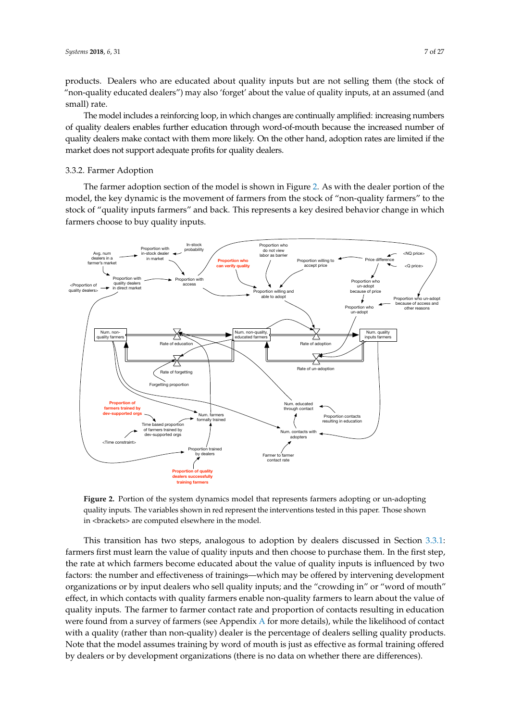products. Dealers who are educated about quality inputs but are not selling them (the stock of "non-quality educated dealers") may also 'forget' about the value of quality inputs, at an assumed (and small) rate.

The model includes a reinforcing loop, in which changes are continually amplified: increasing numbers of quality dealers enables further education through word-of-mouth because the increased number of quality dealers make contact with them more likely. On the other hand, adoption rates are limited if the market does not support adequate profits for quality dealers.

#### 3.3.2. Farmer Adoption

The farmer adoption section of the model is shown in Figure [2.](#page-6-0) As with the dealer portion of the model, the key dynamic is the movement of farmers from the stock of "non-quality farmers" to the stock of "quality inputs farmers" and back. This represents a key desired behavior change in which farmers choose to buy quality inputs.

<span id="page-6-0"></span>

**Figure 2.** Portion of the system dynamics model that represents farmers adopting or un-adopting quality inputs. The variables shown in red represent the interventions tested in this paper. Those shown in <br/>brackets> are computed elsewhere in the model.

This transition has two steps, analogous to adoption by dealers discussed in Section [3.3.1:](#page-4-0) farmers first must learn the value of quality inputs and then choose to purchase them. In the first step, the rate at which farmers become educated about the value of quality inputs is influenced by two factors: the number and effectiveness of trainings—which may be offered by intervening development organizations or by input dealers who sell quality inputs; and the "crowding in" or "word of mouth" effect, in which contacts with quality farmers enable non-quality farmers to learn about the value of quality inputs. The farmer to farmer contact rate and proportion of contacts resulting in education were found from a survey of farmers (see Appendix [A](#page-20-1) for more details), while the likelihood of contact with a quality (rather than non-quality) dealer is the percentage of dealers selling quality products. Note that the model assumes training by word of mouth is just as effective as formal training offered by dealers or by development organizations (there is no data on whether there are differences).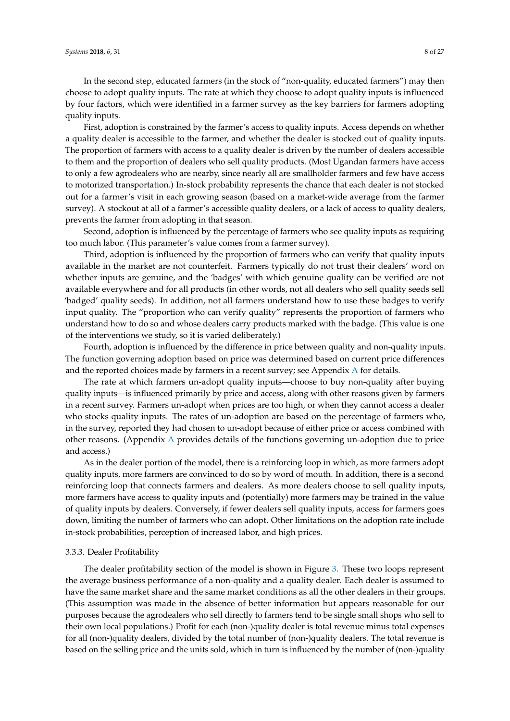In the second step, educated farmers (in the stock of "non-quality, educated farmers") may then choose to adopt quality inputs. The rate at which they choose to adopt quality inputs is influenced by four factors, which were identified in a farmer survey as the key barriers for farmers adopting quality inputs.

First, adoption is constrained by the farmer's access to quality inputs. Access depends on whether a quality dealer is accessible to the farmer, and whether the dealer is stocked out of quality inputs. The proportion of farmers with access to a quality dealer is driven by the number of dealers accessible to them and the proportion of dealers who sell quality products. (Most Ugandan farmers have access to only a few agrodealers who are nearby, since nearly all are smallholder farmers and few have access to motorized transportation.) In-stock probability represents the chance that each dealer is not stocked out for a farmer's visit in each growing season (based on a market-wide average from the farmer survey). A stockout at all of a farmer's accessible quality dealers, or a lack of access to quality dealers, prevents the farmer from adopting in that season.

Second, adoption is influenced by the percentage of farmers who see quality inputs as requiring too much labor. (This parameter's value comes from a farmer survey).

Third, adoption is influenced by the proportion of farmers who can verify that quality inputs available in the market are not counterfeit. Farmers typically do not trust their dealers' word on whether inputs are genuine, and the 'badges' with which genuine quality can be verified are not available everywhere and for all products (in other words, not all dealers who sell quality seeds sell 'badged' quality seeds). In addition, not all farmers understand how to use these badges to verify input quality. The "proportion who can verify quality" represents the proportion of farmers who understand how to do so and whose dealers carry products marked with the badge. (This value is one of the interventions we study, so it is varied deliberately.)

Fourth, adoption is influenced by the difference in price between quality and non-quality inputs. The function governing adoption based on price was determined based on current price differences and the reported choices made by farmers in a recent survey; see Appendix [A](#page-20-1) for details.

The rate at which farmers un-adopt quality inputs—choose to buy non-quality after buying quality inputs—is influenced primarily by price and access, along with other reasons given by farmers in a recent survey. Farmers un-adopt when prices are too high, or when they cannot access a dealer who stocks quality inputs. The rates of un-adoption are based on the percentage of farmers who, in the survey, reported they had chosen to un-adopt because of either price or access combined with other reasons. (Appendix [A](#page-20-1) provides details of the functions governing un-adoption due to price and access.)

As in the dealer portion of the model, there is a reinforcing loop in which, as more farmers adopt quality inputs, more farmers are convinced to do so by word of mouth. In addition, there is a second reinforcing loop that connects farmers and dealers. As more dealers choose to sell quality inputs, more farmers have access to quality inputs and (potentially) more farmers may be trained in the value of quality inputs by dealers. Conversely, if fewer dealers sell quality inputs, access for farmers goes down, limiting the number of farmers who can adopt. Other limitations on the adoption rate include in-stock probabilities, perception of increased labor, and high prices.

#### 3.3.3. Dealer Profitability

The dealer profitability section of the model is shown in Figure [3.](#page-8-2) These two loops represent the average business performance of a non-quality and a quality dealer. Each dealer is assumed to have the same market share and the same market conditions as all the other dealers in their groups. (This assumption was made in the absence of better information but appears reasonable for our purposes because the agrodealers who sell directly to farmers tend to be single small shops who sell to their own local populations.) Profit for each (non-)quality dealer is total revenue minus total expenses for all (non-)quality dealers, divided by the total number of (non-)quality dealers. The total revenue is based on the selling price and the units sold, which in turn is influenced by the number of (non-)quality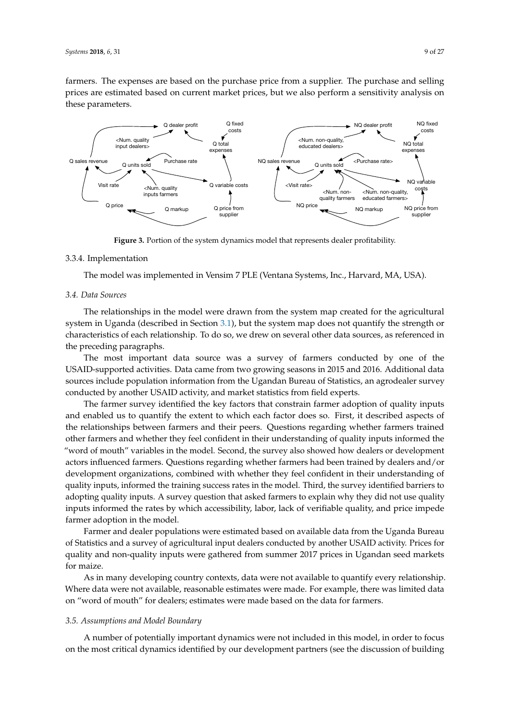farmers. The expenses are based on the purchase price from a supplier. The purchase and selling prices are estimated based on current market prices, but we also perform a sensitivity analysis on these parameters.

<span id="page-8-2"></span>

**Figure 3.** Portion of the system dynamics model that represents dealer profitability.

#### 3.3.4. Implementation

The model was implemented in Vensim 7 PLE (Ventana Systems, Inc., Harvard, MA, USA).

#### <span id="page-8-1"></span>*3.4. Data Sources*

The relationships in the model were drawn from the system map created for the agricultural system in Uganda (described in Section [3.1\)](#page-3-0), but the system map does not quantify the strength or characteristics of each relationship. To do so, we drew on several other data sources, as referenced in the preceding paragraphs.

The most important data source was a survey of farmers conducted by one of the USAID-supported activities. Data came from two growing seasons in 2015 and 2016. Additional data sources include population information from the Ugandan Bureau of Statistics, an agrodealer survey conducted by another USAID activity, and market statistics from field experts.

The farmer survey identified the key factors that constrain farmer adoption of quality inputs and enabled us to quantify the extent to which each factor does so. First, it described aspects of the relationships between farmers and their peers. Questions regarding whether farmers trained other farmers and whether they feel confident in their understanding of quality inputs informed the "word of mouth" variables in the model. Second, the survey also showed how dealers or development actors influenced farmers. Questions regarding whether farmers had been trained by dealers and/or development organizations, combined with whether they feel confident in their understanding of quality inputs, informed the training success rates in the model. Third, the survey identified barriers to adopting quality inputs. A survey question that asked farmers to explain why they did not use quality inputs informed the rates by which accessibility, labor, lack of verifiable quality, and price impede farmer adoption in the model.

Farmer and dealer populations were estimated based on available data from the Uganda Bureau of Statistics and a survey of agricultural input dealers conducted by another USAID activity. Prices for quality and non-quality inputs were gathered from summer 2017 prices in Ugandan seed markets for maize.

As in many developing country contexts, data were not available to quantify every relationship. Where data were not available, reasonable estimates were made. For example, there was limited data on "word of mouth" for dealers; estimates were made based on the data for farmers.

#### <span id="page-8-0"></span>*3.5. Assumptions and Model Boundary*

A number of potentially important dynamics were not included in this model, in order to focus on the most critical dynamics identified by our development partners (see the discussion of building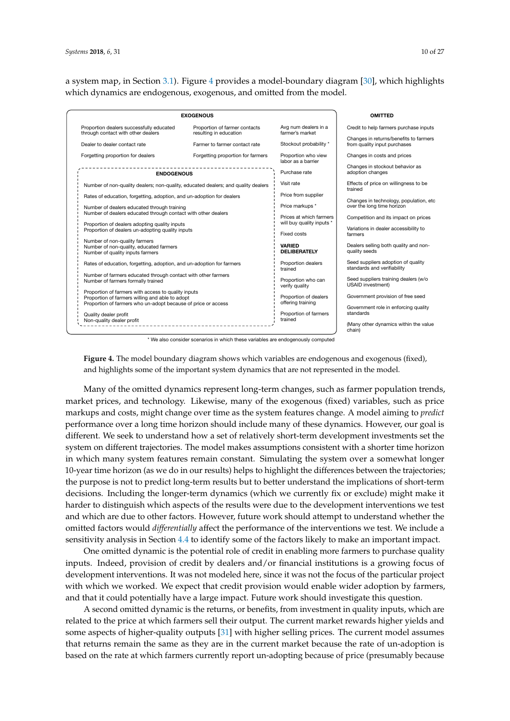a system map, in Section [3.1\)](#page-3-0). Figure [4](#page-9-0) provides a model-boundary diagram [\[30\]](#page-26-7), which highlights which dynamics are endogenous, exogenous, and omitted from the model.

<span id="page-9-0"></span>

\* We also consider scenarios in which these variables are endogenously computed

**Figure 4.** The model boundary diagram shows which variables are endogenous and exogenous (fixed), and highlights some of the important system dynamics that are not represented in the model.

Many of the omitted dynamics represent long-term changes, such as farmer population trends, market prices, and technology. Likewise, many of the exogenous (fixed) variables, such as price markups and costs, might change over time as the system features change. A model aiming to *predict* performance over a long time horizon should include many of these dynamics. However, our goal is different. We seek to understand how a set of relatively short-term development investments set the system on different trajectories. The model makes assumptions consistent with a shorter time horizon in which many system features remain constant. Simulating the system over a somewhat longer 10-year time horizon (as we do in our results) helps to highlight the differences between the trajectories; the purpose is not to predict long-term results but to better understand the implications of short-term decisions. Including the longer-term dynamics (which we currently fix or exclude) might make it harder to distinguish which aspects of the results were due to the development interventions we test and which are due to other factors. However, future work should attempt to understand whether the omitted factors would *differentially* affect the performance of the interventions we test. We include a sensitivity analysis in Section [4.4](#page-14-0) to identify some of the factors likely to make an important impact.

One omitted dynamic is the potential role of credit in enabling more farmers to purchase quality inputs. Indeed, provision of credit by dealers and/or financial institutions is a growing focus of development interventions. It was not modeled here, since it was not the focus of the particular project with which we worked. We expect that credit provision would enable wider adoption by farmers, and that it could potentially have a large impact. Future work should investigate this question.

A second omitted dynamic is the returns, or benefits, from investment in quality inputs, which are related to the price at which farmers sell their output. The current market rewards higher yields and some aspects of higher-quality outputs [\[31\]](#page-26-8) with higher selling prices. The current model assumes that returns remain the same as they are in the current market because the rate of un-adoption is based on the rate at which farmers currently report un-adopting because of price (presumably because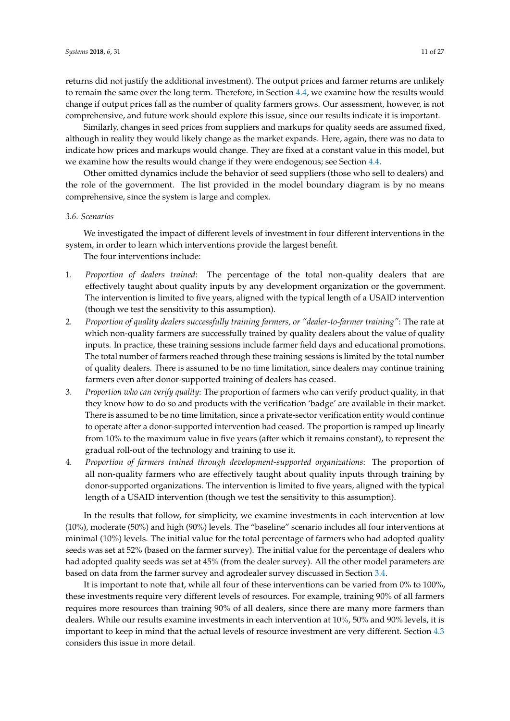returns did not justify the additional investment). The output prices and farmer returns are unlikely to remain the same over the long term. Therefore, in Section [4.4,](#page-14-0) we examine how the results would change if output prices fall as the number of quality farmers grows. Our assessment, however, is not comprehensive, and future work should explore this issue, since our results indicate it is important.

Similarly, changes in seed prices from suppliers and markups for quality seeds are assumed fixed, although in reality they would likely change as the market expands. Here, again, there was no data to indicate how prices and markups would change. They are fixed at a constant value in this model, but we examine how the results would change if they were endogenous; see Section [4.4.](#page-14-0)

Other omitted dynamics include the behavior of seed suppliers (those who sell to dealers) and the role of the government. The list provided in the model boundary diagram is by no means comprehensive, since the system is large and complex.

#### *3.6. Scenarios*

We investigated the impact of different levels of investment in four different interventions in the system, in order to learn which interventions provide the largest benefit.

The four interventions include:

- 1. *Proportion of dealers trained*: The percentage of the total non-quality dealers that are effectively taught about quality inputs by any development organization or the government. The intervention is limited to five years, aligned with the typical length of a USAID intervention (though we test the sensitivity to this assumption).
- 2. *Proportion of quality dealers successfully training farmers, or "dealer-to-farmer training"*: The rate at which non-quality farmers are successfully trained by quality dealers about the value of quality inputs. In practice, these training sessions include farmer field days and educational promotions. The total number of farmers reached through these training sessions is limited by the total number of quality dealers. There is assumed to be no time limitation, since dealers may continue training farmers even after donor-supported training of dealers has ceased.
- 3. *Proportion who can verify quality*: The proportion of farmers who can verify product quality, in that they know how to do so and products with the verification 'badge' are available in their market. There is assumed to be no time limitation, since a private-sector verification entity would continue to operate after a donor-supported intervention had ceased. The proportion is ramped up linearly from 10% to the maximum value in five years (after which it remains constant), to represent the gradual roll-out of the technology and training to use it.
- 4. *Proportion of farmers trained through development-supported organizations*: The proportion of all non-quality farmers who are effectively taught about quality inputs through training by donor-supported organizations. The intervention is limited to five years, aligned with the typical length of a USAID intervention (though we test the sensitivity to this assumption).

In the results that follow, for simplicity, we examine investments in each intervention at low (10%), moderate (50%) and high (90%) levels. The "baseline" scenario includes all four interventions at minimal (10%) levels. The initial value for the total percentage of farmers who had adopted quality seeds was set at 52% (based on the farmer survey). The initial value for the percentage of dealers who had adopted quality seeds was set at 45% (from the dealer survey). All the other model parameters are based on data from the farmer survey and agrodealer survey discussed in Section [3.4.](#page-8-1)

It is important to note that, while all four of these interventions can be varied from 0% to 100%, these investments require very different levels of resources. For example, training 90% of all farmers requires more resources than training 90% of all dealers, since there are many more farmers than dealers. While our results examine investments in each intervention at 10%, 50% and 90% levels, it is important to keep in mind that the actual levels of resource investment are very different. Section [4.3](#page-14-1) considers this issue in more detail.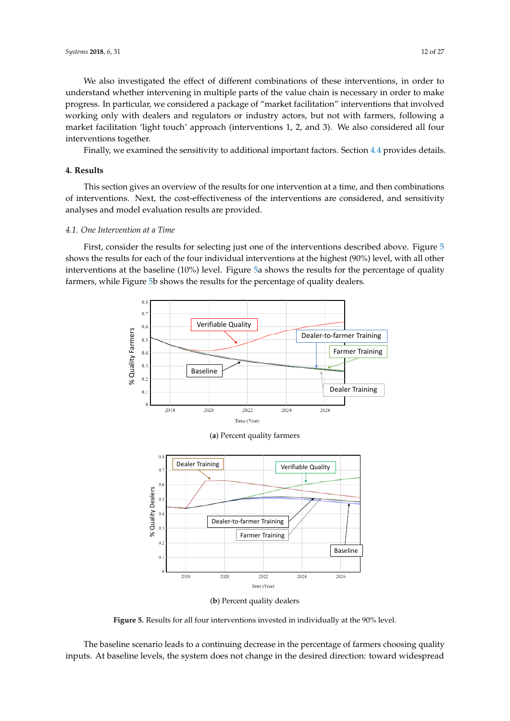We also investigated the effect of different combinations of these interventions, in order to understand whether intervening in multiple parts of the value chain is necessary in order to make progress. In particular, we considered a package of "market facilitation" interventions that involved working only with dealers and regulators or industry actors, but not with farmers, following a market facilitation 'light touch' approach (interventions 1, 2, and 3). We also considered all four interventions together.

Finally, we examined the sensitivity to additional important factors. Section [4.4](#page-14-0) provides details.

#### <span id="page-11-0"></span>**4. Results**

This section gives an overview of the results for one intervention at a time, and then combinations of interventions. Next, the cost-effectiveness of the interventions are considered, and sensitivity analyses and model evaluation results are provided.

#### *4.1. One Intervention at a Time*

<span id="page-11-1"></span>First, consider the results for selecting just one of the interventions described above. Figure [5](#page-11-1) shows the results for each of the four individual interventions at the highest (90%) level, with all other interventions at the baseline (10%) level. Figure [5a](#page-11-1) shows the results for the percentage of quality farmers, while Figure [5b](#page-11-1) shows the results for the percentage of quality dealers.



(**b**) Percent quality dealers

**Figure 5.** Results for all four interventions invested in individually at the 90% level.

The baseline scenario leads to a continuing decrease in the percentage of farmers choosing quality inputs. At baseline levels, the system does not change in the desired direction: toward widespread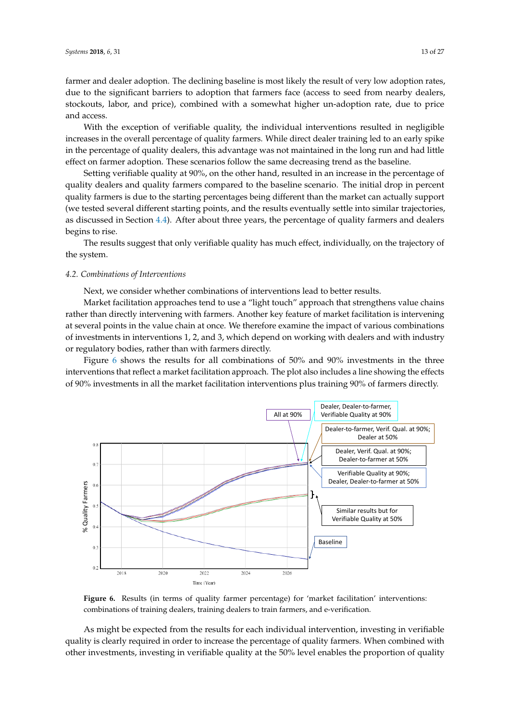With the exception of verifiable quality, the individual interventions resulted in negligible increases in the overall percentage of quality farmers. While direct dealer training led to an early spike in the percentage of quality dealers, this advantage was not maintained in the long run and had little effect on farmer adoption. These scenarios follow the same decreasing trend as the baseline.

Setting verifiable quality at 90%, on the other hand, resulted in an increase in the percentage of quality dealers and quality farmers compared to the baseline scenario. The initial drop in percent quality farmers is due to the starting percentages being different than the market can actually support (we tested several different starting points, and the results eventually settle into similar trajectories, as discussed in Section [4.4\)](#page-14-0). After about three years, the percentage of quality farmers and dealers begins to rise.

The results suggest that only verifiable quality has much effect, individually, on the trajectory of the system.

#### *4.2. Combinations of Interventions*

Next, we consider whether combinations of interventions lead to better results.

Market facilitation approaches tend to use a "light touch" approach that strengthens value chains rather than directly intervening with farmers. Another key feature of market facilitation is intervening at several points in the value chain at once. We therefore examine the impact of various combinations of investments in interventions 1, 2, and 3, which depend on working with dealers and with industry or regulatory bodies, rather than with farmers directly.

Figure [6](#page-12-0) shows the results for all combinations of 50% and 90% investments in the three interventions that reflect a market facilitation approach. The plot also includes a line showing the effects of 90% investments in all the market facilitation interventions plus training 90% of farmers directly.

<span id="page-12-0"></span>

Figure 6. Results (in terms of quality farmer percentage) for 'market facilitation' interventions: combinations of training dealers, training dealers to train farmers, and e-verification.

As might be expected from the results for each individual intervention, investing in verifiable quality is clearly required in order to increase the percentage of quality farmers. When combined with other investments, investing in verifiable quality at the 50% level enables the proportion of quality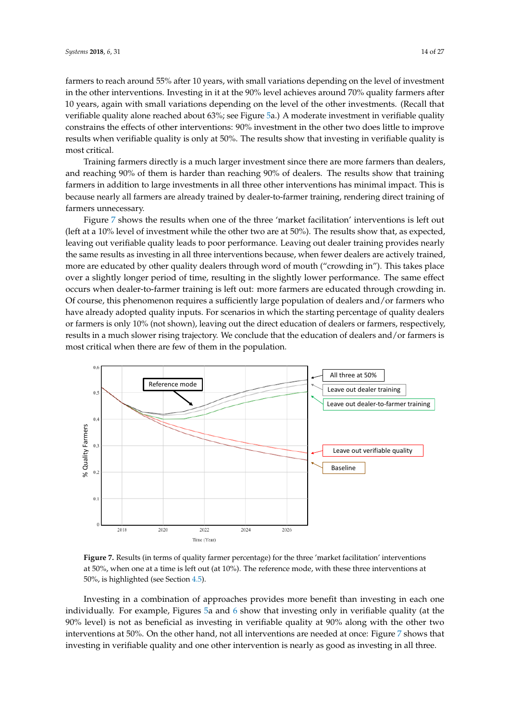farmers to reach around 55% after 10 years, with small variations depending on the level of investment in the other interventions. Investing in it at the 90% level achieves around 70% quality farmers after 10 years, again with small variations depending on the level of the other investments. (Recall that verifiable quality alone reached about 63%; see Figure [5a](#page-11-1).) A moderate investment in verifiable quality constrains the effects of other interventions: 90% investment in the other two does little to improve results when verifiable quality is only at 50%. The results show that investing in verifiable quality is most critical.

Training farmers directly is a much larger investment since there are more farmers than dealers, and reaching 90% of them is harder than reaching 90% of dealers. The results show that training farmers in addition to large investments in all three other interventions has minimal impact. This is because nearly all farmers are already trained by dealer-to-farmer training, rendering direct training of farmers unnecessary.

Figure [7](#page-13-0) shows the results when one of the three 'market facilitation' interventions is left out (left at a 10% level of investment while the other two are at 50%). The results show that, as expected, leaving out verifiable quality leads to poor performance. Leaving out dealer training provides nearly the same results as investing in all three interventions because, when fewer dealers are actively trained, more are educated by other quality dealers through word of mouth ("crowding in"). This takes place over a slightly longer period of time, resulting in the slightly lower performance. The same effect occurs when dealer-to-farmer training is left out: more farmers are educated through crowding in. Of course, this phenomenon requires a sufficiently large population of dealers and/or farmers who have already adopted quality inputs. For scenarios in which the starting percentage of quality dealers or farmers is only 10% (not shown), leaving out the direct education of dealers or farmers, respectively, results in a much slower rising trajectory. We conclude that the education of dealers and/or farmers is most critical when there are few of them in the population.

<span id="page-13-0"></span>

**Figure 7.** Results (in terms of quality farmer percentage) for the three 'market facilitation' interventions at 50%, when one at a time is left out (at 10%). The reference mode, with these three interventions at 50%, is highlighted (see Section [4.5\)](#page-18-1).

Investing in a combination of approaches provides more benefit than investing in each one individually. For example, Figures [5a](#page-11-1) and [6](#page-12-0) show that investing only in verifiable quality (at the 90% level) is not as beneficial as investing in verifiable quality at 90% along with the other two interventions at 50%. On the other hand, not all interventions are needed at once: Figure [7](#page-13-0) shows that investing in verifiable quality and one other intervention is nearly as good as investing in all three.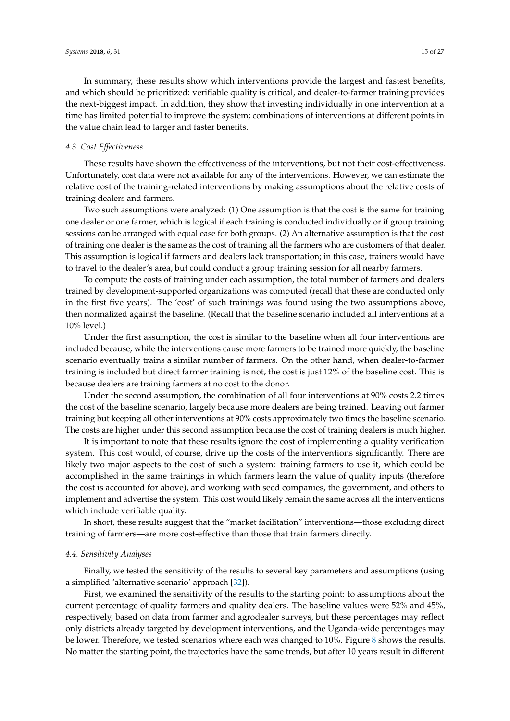In summary, these results show which interventions provide the largest and fastest benefits, and which should be prioritized: verifiable quality is critical, and dealer-to-farmer training provides the next-biggest impact. In addition, they show that investing individually in one intervention at a time has limited potential to improve the system; combinations of interventions at different points in the value chain lead to larger and faster benefits.

#### <span id="page-14-1"></span>*4.3. Cost Effectiveness*

These results have shown the effectiveness of the interventions, but not their cost-effectiveness. Unfortunately, cost data were not available for any of the interventions. However, we can estimate the relative cost of the training-related interventions by making assumptions about the relative costs of training dealers and farmers.

Two such assumptions were analyzed: (1) One assumption is that the cost is the same for training one dealer or one farmer, which is logical if each training is conducted individually or if group training sessions can be arranged with equal ease for both groups. (2) An alternative assumption is that the cost of training one dealer is the same as the cost of training all the farmers who are customers of that dealer. This assumption is logical if farmers and dealers lack transportation; in this case, trainers would have to travel to the dealer's area, but could conduct a group training session for all nearby farmers.

To compute the costs of training under each assumption, the total number of farmers and dealers trained by development-supported organizations was computed (recall that these are conducted only in the first five years). The 'cost' of such trainings was found using the two assumptions above, then normalized against the baseline. (Recall that the baseline scenario included all interventions at a 10% level.)

Under the first assumption, the cost is similar to the baseline when all four interventions are included because, while the interventions cause more farmers to be trained more quickly, the baseline scenario eventually trains a similar number of farmers. On the other hand, when dealer-to-farmer training is included but direct farmer training is not, the cost is just 12% of the baseline cost. This is because dealers are training farmers at no cost to the donor.

Under the second assumption, the combination of all four interventions at 90% costs 2.2 times the cost of the baseline scenario, largely because more dealers are being trained. Leaving out farmer training but keeping all other interventions at 90% costs approximately two times the baseline scenario. The costs are higher under this second assumption because the cost of training dealers is much higher.

It is important to note that these results ignore the cost of implementing a quality verification system. This cost would, of course, drive up the costs of the interventions significantly. There are likely two major aspects to the cost of such a system: training farmers to use it, which could be accomplished in the same trainings in which farmers learn the value of quality inputs (therefore the cost is accounted for above), and working with seed companies, the government, and others to implement and advertise the system. This cost would likely remain the same across all the interventions which include verifiable quality.

In short, these results suggest that the "market facilitation" interventions—those excluding direct training of farmers—are more cost-effective than those that train farmers directly.

#### <span id="page-14-0"></span>*4.4. Sensitivity Analyses*

Finally, we tested the sensitivity of the results to several key parameters and assumptions (using a simplified 'alternative scenario' approach [\[32\]](#page-26-9)).

First, we examined the sensitivity of the results to the starting point: to assumptions about the current percentage of quality farmers and quality dealers. The baseline values were 52% and 45%, respectively, based on data from farmer and agrodealer surveys, but these percentages may reflect only districts already targeted by development interventions, and the Uganda-wide percentages may be lower. Therefore, we tested scenarios where each was changed to 10%. Figure [8](#page-15-0) shows the results. No matter the starting point, the trajectories have the same trends, but after 10 years result in different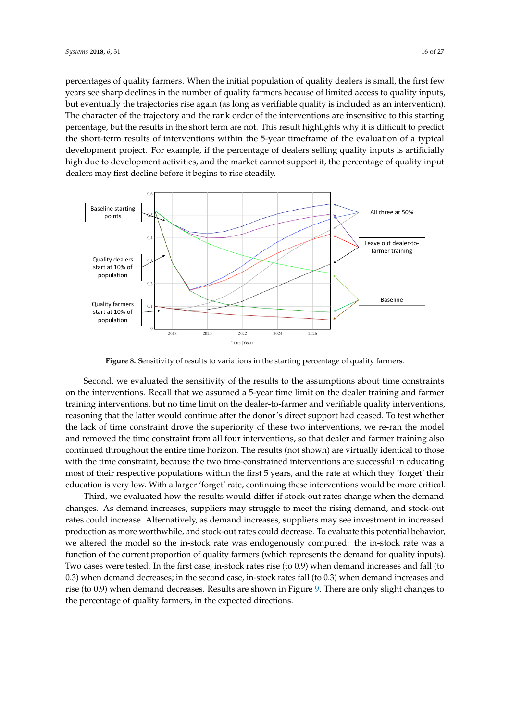percentages of quality farmers. When the initial population of quality dealers is small, the first few years see sharp declines in the number of quality farmers because of limited access to quality inputs, but eventually the trajectories rise again (as long as verifiable quality is included as an intervention). The character of the trajectory and the rank order of the interventions are insensitive to this starting percentage, but the results in the short term are not. This result highlights why it is difficult to predict the short-term results of interventions within the 5-year timeframe of the evaluation of a typical development project. For example, if the percentage of dealers selling quality inputs is artificially high due to development activities, and the market cannot support it, the percentage of quality input dealers may first decline before it begins to rise steadily.

<span id="page-15-0"></span>

Figure 8. Sensitivity of results to variations in the starting percentage of quality farmers.

Second, we evaluated the sensitivity of the results to the assumptions about time constraints on the interventions. Recall that we assumed a 5-year time limit on the dealer training and farmer training interventions, but no time limit on the dealer-to-farmer and verifiable quality interventions, reasoning that the latter would continue after the donor's direct support had ceased. To test whether the lack of time constraint drove the superiority of these two interventions, we re-ran the model and removed the time constraint from all four interventions, so that dealer and farmer training also continued throughout the entire time horizon. The results (not shown) are virtually identical to those with the time constraint, because the two time-constrained interventions are successful in educating most of their respective populations within the first 5 years, and the rate at which they 'forget' their education is very low. With a larger 'forget' rate, continuing these interventions would be more critical.

Third, we evaluated how the results would differ if stock-out rates change when the demand changes. As demand increases, suppliers may struggle to meet the rising demand, and stock-out rates could increase. Alternatively, as demand increases, suppliers may see investment in increased production as more worthwhile, and stock-out rates could decrease. To evaluate this potential behavior, we altered the model so the in-stock rate was endogenously computed: the in-stock rate was a function of the current proportion of quality farmers (which represents the demand for quality inputs). Two cases were tested. In the first case, in-stock rates rise (to 0.9) when demand increases and fall (to 0.3) when demand decreases; in the second case, in-stock rates fall (to 0.3) when demand increases and rise (to 0.9) when demand decreases. Results are shown in Figure [9.](#page-16-0) There are only slight changes to the percentage of quality farmers, in the expected directions.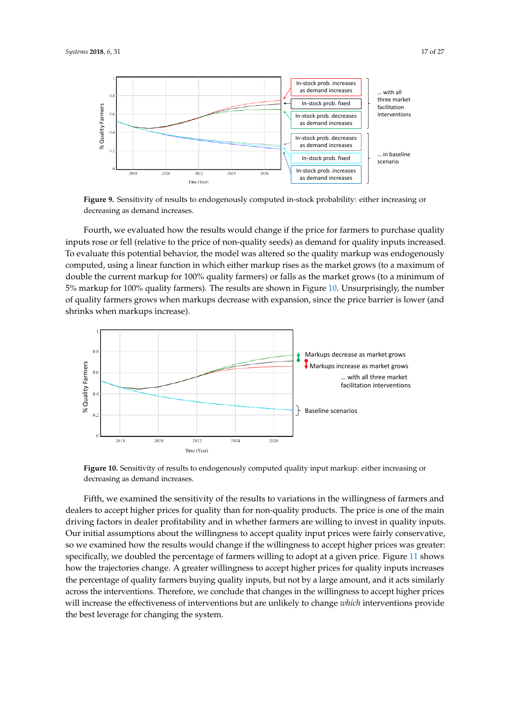<span id="page-16-0"></span>

**Figure 9.** Sensitivity of results to endogenously computed in-stock probability: either increasing or decreasing as demand increases.

Fourth, we evaluated how the results would change if the price for farmers to purchase quality inputs rose or fell (relative to the price of non-quality seeds) as demand for quality inputs increased. To evaluate this potential behavior, the model was altered so the quality markup was endogenously computed, using a linear function in which either markup rises as the market grows (to a maximum of double the current markup for 100% quality farmers) or falls as the market grows (to a minimum of 5% markup for 100% quality farmers). The results are shown in Figure [10.](#page-16-1) Unsurprisingly, the number of quality farmers grows when markups decrease with expansion, since the price barrier is lower (and shrinks when markups increase).

<span id="page-16-1"></span>

**Figure 10.** Sensitivity of results to endogenously computed quality input markup: either increasing or decreasing as demand increases.

Fifth, we examined the sensitivity of the results to variations in the willingness of farmers and dealers to accept higher prices for quality than for non-quality products. The price is one of the main driving factors in dealer profitability and in whether farmers are willing to invest in quality inputs. Our initial assumptions about the willingness to accept quality input prices were fairly conservative, so we examined how the results would change if the willingness to accept higher prices was greater: specifically, we doubled the percentage of farmers willing to adopt at a given price. Figure [11](#page-17-0) shows how the trajectories change. A greater willingness to accept higher prices for quality inputs increases the percentage of quality farmers buying quality inputs, but not by a large amount, and it acts similarly across the interventions. Therefore, we conclude that changes in the willingness to accept higher prices will increase the effectiveness of interventions but are unlikely to change *which* interventions provide the best leverage for changing the system.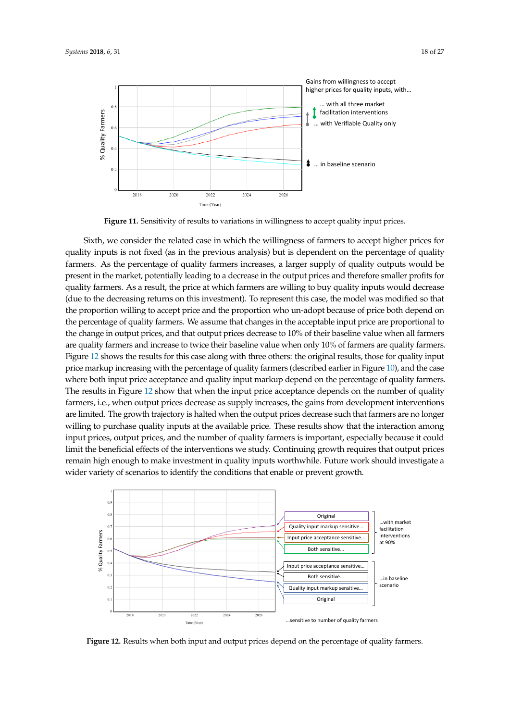<span id="page-17-0"></span>

**Figure 11.** Sensitivity of results to variations in willingness to accept quality input prices.

Sixth, we consider the related case in which the willingness of farmers to accept higher prices for quality inputs is not fixed (as in the previous analysis) but is dependent on the percentage of quality farmers. As the percentage of quality farmers increases, a larger supply of quality outputs would be present in the market, potentially leading to a decrease in the output prices and therefore smaller profits for quality farmers. As a result, the price at which farmers are willing to buy quality inputs would decrease (due to the decreasing returns on this investment). To represent this case, the model was modified so that the proportion willing to accept price and the proportion who un-adopt because of price both depend on the percentage of quality farmers. We assume that changes in the acceptable input price are proportional to the change in output prices, and that output prices decrease to 10% of their baseline value when all farmers are quality farmers and increase to twice their baseline value when only 10% of farmers are quality farmers. Figure [12](#page-17-1) shows the results for this case along with three others: the original results, those for quality input price markup increasing with the percentage of quality farmers (described earlier in Figure [10\)](#page-16-1), and the case where both input price acceptance and quality input markup depend on the percentage of quality farmers. The results in Figure [12](#page-17-1) show that when the input price acceptance depends on the number of quality farmers, i.e., when output prices decrease as supply increases, the gains from development interventions are limited. The growth trajectory is halted when the output prices decrease such that farmers are no longer willing to purchase quality inputs at the available price. These results show that the interaction among input prices, output prices, and the number of quality farmers is important, especially because it could limit the beneficial effects of the interventions we study. Continuing growth requires that output prices remain high enough to make investment in quality inputs worthwhile. Future work should investigate a wider variety of scenarios to identify the conditions that enable or prevent growth.

<span id="page-17-1"></span>

**Figure 12.** Results when both input and output prices depend on the percentage of quality farmers.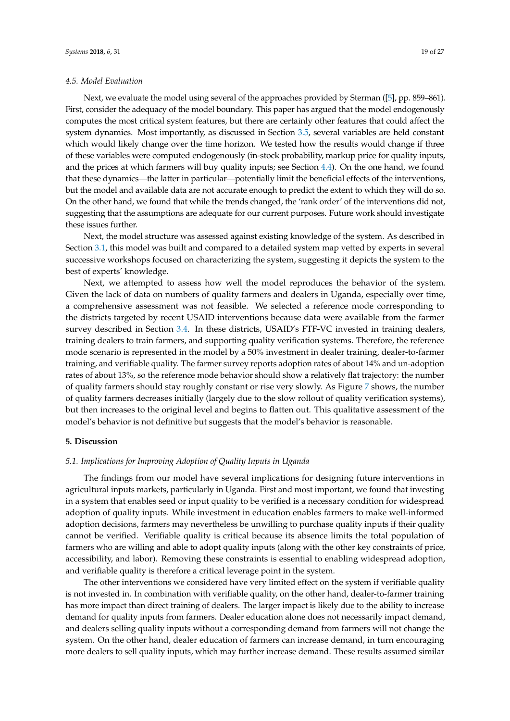#### <span id="page-18-1"></span>*4.5. Model Evaluation*

Next, we evaluate the model using several of the approaches provided by Sterman ([\[5\]](#page-25-4), pp. 859–861). First, consider the adequacy of the model boundary. This paper has argued that the model endogenously computes the most critical system features, but there are certainly other features that could affect the system dynamics. Most importantly, as discussed in Section [3.5,](#page-8-0) several variables are held constant which would likely change over the time horizon. We tested how the results would change if three of these variables were computed endogenously (in-stock probability, markup price for quality inputs, and the prices at which farmers will buy quality inputs; see Section [4.4\)](#page-14-0). On the one hand, we found that these dynamics—the latter in particular—potentially limit the beneficial effects of the interventions, but the model and available data are not accurate enough to predict the extent to which they will do so. On the other hand, we found that while the trends changed, the 'rank order' of the interventions did not, suggesting that the assumptions are adequate for our current purposes. Future work should investigate these issues further.

Next, the model structure was assessed against existing knowledge of the system. As described in Section [3.1,](#page-3-0) this model was built and compared to a detailed system map vetted by experts in several successive workshops focused on characterizing the system, suggesting it depicts the system to the best of experts' knowledge.

Next, we attempted to assess how well the model reproduces the behavior of the system. Given the lack of data on numbers of quality farmers and dealers in Uganda, especially over time, a comprehensive assessment was not feasible. We selected a reference mode corresponding to the districts targeted by recent USAID interventions because data were available from the farmer survey described in Section [3.4.](#page-8-1) In these districts, USAID's FTF-VC invested in training dealers, training dealers to train farmers, and supporting quality verification systems. Therefore, the reference mode scenario is represented in the model by a 50% investment in dealer training, dealer-to-farmer training, and verifiable quality. The farmer survey reports adoption rates of about 14% and un-adoption rates of about 13%, so the reference mode behavior should show a relatively flat trajectory: the number of quality farmers should stay roughly constant or rise very slowly. As Figure [7](#page-13-0) shows, the number of quality farmers decreases initially (largely due to the slow rollout of quality verification systems), but then increases to the original level and begins to flatten out. This qualitative assessment of the model's behavior is not definitive but suggests that the model's behavior is reasonable.

#### <span id="page-18-0"></span>**5. Discussion**

#### *5.1. Implications for Improving Adoption of Quality Inputs in Uganda*

The findings from our model have several implications for designing future interventions in agricultural inputs markets, particularly in Uganda. First and most important, we found that investing in a system that enables seed or input quality to be verified is a necessary condition for widespread adoption of quality inputs. While investment in education enables farmers to make well-informed adoption decisions, farmers may nevertheless be unwilling to purchase quality inputs if their quality cannot be verified. Verifiable quality is critical because its absence limits the total population of farmers who are willing and able to adopt quality inputs (along with the other key constraints of price, accessibility, and labor). Removing these constraints is essential to enabling widespread adoption, and verifiable quality is therefore a critical leverage point in the system.

The other interventions we considered have very limited effect on the system if verifiable quality is not invested in. In combination with verifiable quality, on the other hand, dealer-to-farmer training has more impact than direct training of dealers. The larger impact is likely due to the ability to increase demand for quality inputs from farmers. Dealer education alone does not necessarily impact demand, and dealers selling quality inputs without a corresponding demand from farmers will not change the system. On the other hand, dealer education of farmers can increase demand, in turn encouraging more dealers to sell quality inputs, which may further increase demand. These results assumed similar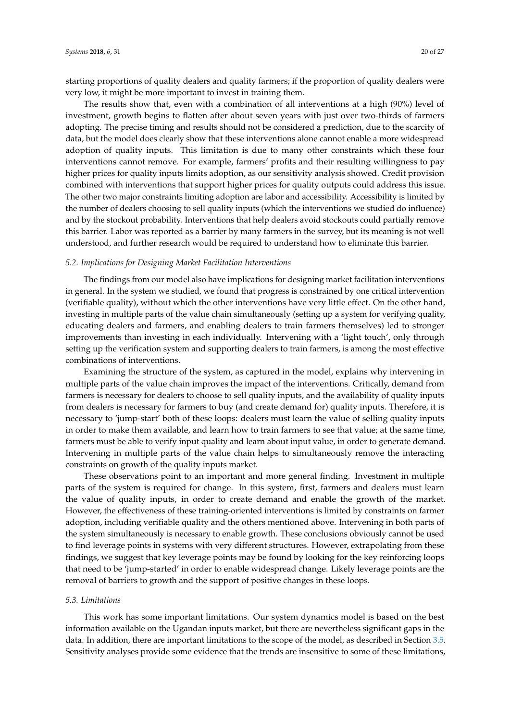starting proportions of quality dealers and quality farmers; if the proportion of quality dealers were very low, it might be more important to invest in training them.

The results show that, even with a combination of all interventions at a high (90%) level of investment, growth begins to flatten after about seven years with just over two-thirds of farmers adopting. The precise timing and results should not be considered a prediction, due to the scarcity of data, but the model does clearly show that these interventions alone cannot enable a more widespread adoption of quality inputs. This limitation is due to many other constraints which these four interventions cannot remove. For example, farmers' profits and their resulting willingness to pay higher prices for quality inputs limits adoption, as our sensitivity analysis showed. Credit provision combined with interventions that support higher prices for quality outputs could address this issue. The other two major constraints limiting adoption are labor and accessibility. Accessibility is limited by the number of dealers choosing to sell quality inputs (which the interventions we studied do influence) and by the stockout probability. Interventions that help dealers avoid stockouts could partially remove this barrier. Labor was reported as a barrier by many farmers in the survey, but its meaning is not well understood, and further research would be required to understand how to eliminate this barrier.

#### *5.2. Implications for Designing Market Facilitation Interventions*

The findings from our model also have implications for designing market facilitation interventions in general. In the system we studied, we found that progress is constrained by one critical intervention (verifiable quality), without which the other interventions have very little effect. On the other hand, investing in multiple parts of the value chain simultaneously (setting up a system for verifying quality, educating dealers and farmers, and enabling dealers to train farmers themselves) led to stronger improvements than investing in each individually. Intervening with a 'light touch', only through setting up the verification system and supporting dealers to train farmers, is among the most effective combinations of interventions.

Examining the structure of the system, as captured in the model, explains why intervening in multiple parts of the value chain improves the impact of the interventions. Critically, demand from farmers is necessary for dealers to choose to sell quality inputs, and the availability of quality inputs from dealers is necessary for farmers to buy (and create demand for) quality inputs. Therefore, it is necessary to 'jump-start' both of these loops: dealers must learn the value of selling quality inputs in order to make them available, and learn how to train farmers to see that value; at the same time, farmers must be able to verify input quality and learn about input value, in order to generate demand. Intervening in multiple parts of the value chain helps to simultaneously remove the interacting constraints on growth of the quality inputs market.

These observations point to an important and more general finding. Investment in multiple parts of the system is required for change. In this system, first, farmers and dealers must learn the value of quality inputs, in order to create demand and enable the growth of the market. However, the effectiveness of these training-oriented interventions is limited by constraints on farmer adoption, including verifiable quality and the others mentioned above. Intervening in both parts of the system simultaneously is necessary to enable growth. These conclusions obviously cannot be used to find leverage points in systems with very different structures. However, extrapolating from these findings, we suggest that key leverage points may be found by looking for the key reinforcing loops that need to be 'jump-started' in order to enable widespread change. Likely leverage points are the removal of barriers to growth and the support of positive changes in these loops.

#### *5.3. Limitations*

This work has some important limitations. Our system dynamics model is based on the best information available on the Ugandan inputs market, but there are nevertheless significant gaps in the data. In addition, there are important limitations to the scope of the model, as described in Section [3.5.](#page-8-0) Sensitivity analyses provide some evidence that the trends are insensitive to some of these limitations,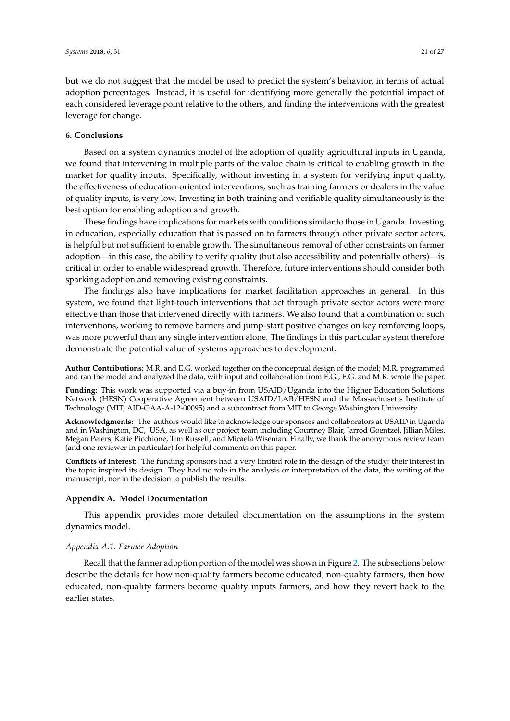but we do not suggest that the model be used to predict the system's behavior, in terms of actual adoption percentages. Instead, it is useful for identifying more generally the potential impact of each considered leverage point relative to the others, and finding the interventions with the greatest leverage for change.

#### <span id="page-20-0"></span>**6. Conclusions**

Based on a system dynamics model of the adoption of quality agricultural inputs in Uganda, we found that intervening in multiple parts of the value chain is critical to enabling growth in the market for quality inputs. Specifically, without investing in a system for verifying input quality, the effectiveness of education-oriented interventions, such as training farmers or dealers in the value of quality inputs, is very low. Investing in both training and verifiable quality simultaneously is the best option for enabling adoption and growth.

These findings have implications for markets with conditions similar to those in Uganda. Investing in education, especially education that is passed on to farmers through other private sector actors, is helpful but not sufficient to enable growth. The simultaneous removal of other constraints on farmer adoption—in this case, the ability to verify quality (but also accessibility and potentially others)—is critical in order to enable widespread growth. Therefore, future interventions should consider both sparking adoption and removing existing constraints.

The findings also have implications for market facilitation approaches in general. In this system, we found that light-touch interventions that act through private sector actors were more effective than those that intervened directly with farmers. We also found that a combination of such interventions, working to remove barriers and jump-start positive changes on key reinforcing loops, was more powerful than any single intervention alone. The findings in this particular system therefore demonstrate the potential value of systems approaches to development.

**Author Contributions:** M.R. and E.G. worked together on the conceptual design of the model; M.R. programmed and ran the model and analyzed the data, with input and collaboration from E.G.; E.G. and M.R. wrote the paper.

**Funding:** This work was supported via a buy-in from USAID/Uganda into the Higher Education Solutions Network (HESN) Cooperative Agreement between USAID/LAB/HESN and the Massachusetts Institute of Technology (MIT, AID-OAA-A-12-00095) and a subcontract from MIT to George Washington University.

**Acknowledgments:** The authors would like to acknowledge our sponsors and collaborators at USAID in Uganda and in Washington, DC, USA, as well as our project team including Courtney Blair, Jarrod Goentzel, Jillian Miles, Megan Peters, Katie Picchione, Tim Russell, and Micaela Wiseman. Finally, we thank the anonymous review team (and one reviewer in particular) for helpful comments on this paper.

**Conflicts of Interest:** The funding sponsors had a very limited role in the design of the study: their interest in the topic inspired its design. They had no role in the analysis or interpretation of the data, the writing of the manuscript, nor in the decision to publish the results.

#### <span id="page-20-1"></span>**Appendix A. Model Documentation**

This appendix provides more detailed documentation on the assumptions in the system dynamics model.

## *Appendix A.1. Farmer Adoption*

Recall that the farmer adoption portion of the model was shown in Figure [2.](#page-6-0) The subsections below describe the details for how non-quality farmers become educated, non-quality farmers, then how educated, non-quality farmers become quality inputs farmers, and how they revert back to the earlier states.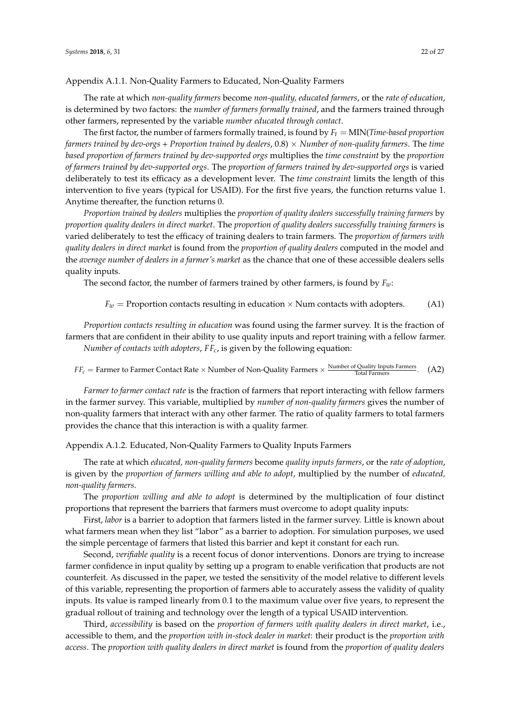### Appendix A.1.1. Non-Quality Farmers to Educated, Non-Quality Farmers

The rate at which *non-quality farmers* become *non-quality, educated farmers*, or the *rate of education*, is determined by two factors: the *number of farmers formally trained*, and the farmers trained through other farmers, represented by the variable *number educated through contact*.

The first factor, the number of farmers formally trained, is found by *F<sup>t</sup>* = MIN(*Time-based proportion farmers trained by dev-orgs* + *Proportion trained by dealers*, 0.8) × *Number of non-quality farmers*. The *time based proportion of farmers trained by dev-supported orgs* multiplies the *time constraint* by the *proportion of farmers trained by dev-supported orgs*. The *proportion of farmers trained by dev-supported orgs* is varied deliberately to test its efficacy as a development lever. The *time constraint* limits the length of this intervention to five years (typical for USAID). For the first five years, the function returns value 1. Anytime thereafter, the function returns 0.

*Proportion trained by dealers* multiplies the *proportion of quality dealers successfully training farmers* by *proportion quality dealers in direct market*. The *proportion of quality dealers successfully training farmers* is varied deliberately to test the efficacy of training dealers to train farmers. The *proportion of farmers with quality dealers in direct market* is found from the *proportion of quality dealers* computed in the model and the *average number of dealers in a farmer's market* as the chance that one of these accessible dealers sells quality inputs.

The second factor, the number of farmers trained by other farmers, is found by *Fw*:

 $F_w$  = Proportion contacts resulting in education  $\times$  Num contacts with adopters. (A1)

*Proportion contacts resulting in education* was found using the farmer survey. It is the fraction of farmers that are confident in their ability to use quality inputs and report training with a fellow farmer. *Number of contacts with adopters*, *FFc*, is given by the following equation:

 $FF_c$  = Farmer to Farmer Contact Rate  $\times$  Number of Non-Quality Farmers  $\times$  <sup>Number of Quality Inputs Farmers</sup>. (A2)

*Farmer to farmer contact rate* is the fraction of farmers that report interacting with fellow farmers in the farmer survey. This variable, multiplied by *number of non-quality farmers* gives the number of non-quality farmers that interact with any other farmer. The ratio of quality farmers to total farmers provides the chance that this interaction is with a quality farmer.

#### Appendix A.1.2. Educated, Non-Quality Farmers to Quality Inputs Farmers

The rate at which *educated, non-quality farmers* become *quality inputs farmers*, or the *rate of adoption*, is given by the *proportion of farmers willing and able to adopt*, multiplied by the number of *educated, non-quality farmers*.

The *proportion willing and able to adopt* is determined by the multiplication of four distinct proportions that represent the barriers that farmers must overcome to adopt quality inputs:

First, *labor* is a barrier to adoption that farmers listed in the farmer survey. Little is known about what farmers mean when they list "labor" as a barrier to adoption. For simulation purposes, we used the simple percentage of farmers that listed this barrier and kept it constant for each run.

Second, *verifiable quality* is a recent focus of donor interventions. Donors are trying to increase farmer confidence in input quality by setting up a program to enable verification that products are not counterfeit. As discussed in the paper, we tested the sensitivity of the model relative to different levels of this variable, representing the proportion of farmers able to accurately assess the validity of quality inputs. Its value is ramped linearly from 0.1 to the maximum value over five years, to represent the gradual rollout of training and technology over the length of a typical USAID intervention.

Third, *accessibility* is based on the *proportion of farmers with quality dealers in direct market*, i.e., accessible to them, and the *proportion with in-stock dealer in market*: their product is the *proportion with access*. The *proportion with quality dealers in direct market* is found from the *proportion of quality dealers*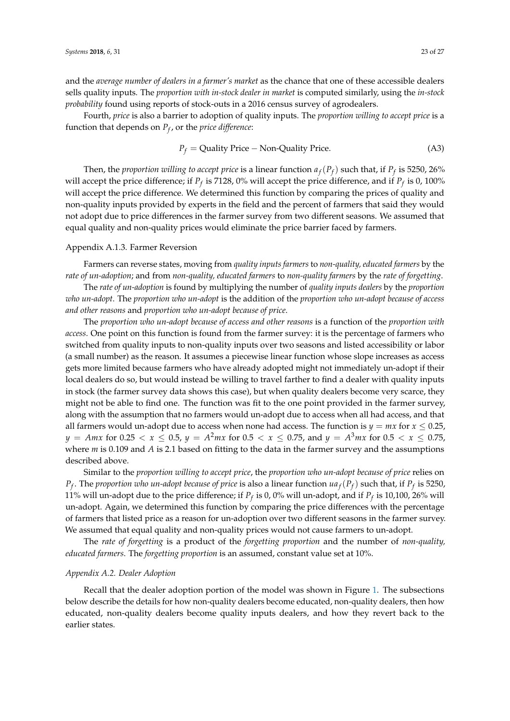and the *average number of dealers in a farmer's market* as the chance that one of these accessible dealers sells quality inputs. The *proportion with in-stock dealer in market* is computed similarly, using the *in-stock probability* found using reports of stock-outs in a 2016 census survey of agrodealers.

Fourth, *price* is also a barrier to adoption of quality inputs. The *proportion willing to accept price* is a function that depends on *P<sup>f</sup>* , or the *price difference*:

$$
P_f = \text{Quality Price} - \text{Non-Quality Price.} \tag{A3}
$$

Then, the *proportion willing to accept price* is a linear function  $a_f(P_f)$  such that, if  $P_f$  is 5250, 26% will accept the price difference; if  $P_f$  is 7128, 0% will accept the price difference, and if  $P_f$  is 0, 100% will accept the price difference. We determined this function by comparing the prices of quality and non-quality inputs provided by experts in the field and the percent of farmers that said they would not adopt due to price differences in the farmer survey from two different seasons. We assumed that equal quality and non-quality prices would eliminate the price barrier faced by farmers.

#### Appendix A.1.3. Farmer Reversion

Farmers can reverse states, moving from *quality inputs farmers* to *non-quality, educated farmers* by the *rate of un-adoption*; and from *non-quality, educated farmers* to *non-quality farmers* by the *rate of forgetting*.

The *rate of un-adoption* is found by multiplying the number of *quality inputs dealers* by the *proportion who un-adopt*. The *proportion who un-adopt* is the addition of the *proportion who un-adopt because of access and other reasons* and *proportion who un-adopt because of price*.

The *proportion who un-adopt because of access and other reasons* is a function of the *proportion with access*. One point on this function is found from the farmer survey: it is the percentage of farmers who switched from quality inputs to non-quality inputs over two seasons and listed accessibility or labor (a small number) as the reason. It assumes a piecewise linear function whose slope increases as access gets more limited because farmers who have already adopted might not immediately un-adopt if their local dealers do so, but would instead be willing to travel farther to find a dealer with quality inputs in stock (the farmer survey data shows this case), but when quality dealers become very scarce, they might not be able to find one. The function was fit to the one point provided in the farmer survey, along with the assumption that no farmers would un-adopt due to access when all had access, and that all farmers would un-adopt due to access when none had access. The function is  $y = mx$  for  $x \le 0.25$ , *y* = *Amx* for 0.25  $< x \leq 0.5$ , *y* = *A* $^2$ *mx* for 0.5  $< x \leq 0.75$ , and *y* = *A* $^3$ *mx* for 0.5  $< x \leq 0.75$ , where *m* is 0.109 and *A* is 2.1 based on fitting to the data in the farmer survey and the assumptions described above.

Similar to the *proportion willing to accept price*, the *proportion who un-adopt because of price* relies on *Pf* . The *proportion who un-adopt because of price* is also a linear function *ua <sup>f</sup>* (*P<sup>f</sup>* ) such that, if *P<sup>f</sup>* is 5250, 11% will un-adopt due to the price difference; if  $P_f$  is 0, 0% will un-adopt, and if  $P_f$  is 10,100, 26% will un-adopt. Again, we determined this function by comparing the price differences with the percentage of farmers that listed price as a reason for un-adoption over two different seasons in the farmer survey. We assumed that equal quality and non-quality prices would not cause farmers to un-adopt.

The *rate of forgetting* is a product of the *forgetting proportion* and the number of *non-quality, educated farmers*. The *forgetting proportion* is an assumed, constant value set at 10%.

#### *Appendix A.2. Dealer Adoption*

Recall that the dealer adoption portion of the model was shown in Figure [1.](#page-5-0) The subsections below describe the details for how non-quality dealers become educated, non-quality dealers, then how educated, non-quality dealers become quality inputs dealers, and how they revert back to the earlier states.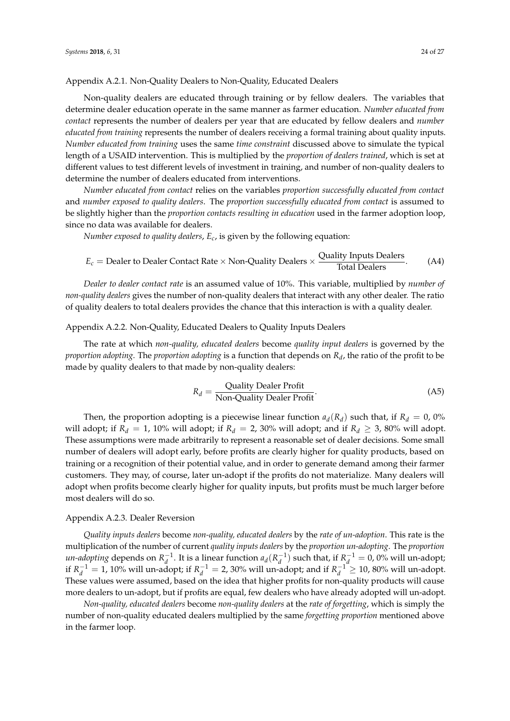Appendix A.2.1. Non-Quality Dealers to Non-Quality, Educated Dealers

Non-quality dealers are educated through training or by fellow dealers. The variables that determine dealer education operate in the same manner as farmer education. *Number educated from contact* represents the number of dealers per year that are educated by fellow dealers and *number educated from training* represents the number of dealers receiving a formal training about quality inputs. *Number educated from training* uses the same *time constraint* discussed above to simulate the typical length of a USAID intervention. This is multiplied by the *proportion of dealers trained*, which is set at different values to test different levels of investment in training, and number of non-quality dealers to determine the number of dealers educated from interventions.

*Number educated from contact* relies on the variables *proportion successfully educated from contact* and *number exposed to quality dealers*. The *proportion successfully educated from contact* is assumed to be slightly higher than the *proportion contacts resulting in education* used in the farmer adoption loop, since no data was available for dealers.

*Number exposed to quality dealers*, *Ec*, is given by the following equation:

$$
E_c
$$
 = Dealer to Dealer Contact Rate × Non-Quality Dealers ×  $\frac{\text{Quality Inputs Dealers}}{\text{Total Dealers}}$ . (A4)

*Dealer to dealer contact rate* is an assumed value of 10%. This variable, multiplied by *number of non-quality dealers* gives the number of non-quality dealers that interact with any other dealer. The ratio of quality dealers to total dealers provides the chance that this interaction is with a quality dealer.

#### Appendix A.2.2. Non-Quality, Educated Dealers to Quality Inputs Dealers

The rate at which *non-quality, educated dealers* become *quality input dealers* is governed by the *proportion adopting*. The *proportion adopting* is a function that depends on *R<sup>d</sup>* , the ratio of the profit to be made by quality dealers to that made by non-quality dealers:

$$
R_d = \frac{\text{Quality Dealer Profit}}{\text{Non-Quality Dealer Profit}}.
$$
 (A5)

Then, the proportion adopting is a piecewise linear function  $a_d(R_d)$  such that, if  $R_d = 0$ , 0% will adopt; if  $R_d = 1$ , 10% will adopt; if  $R_d = 2$ , 30% will adopt; and if  $R_d \ge 3$ , 80% will adopt. These assumptions were made arbitrarily to represent a reasonable set of dealer decisions. Some small number of dealers will adopt early, before profits are clearly higher for quality products, based on training or a recognition of their potential value, and in order to generate demand among their farmer customers. They may, of course, later un-adopt if the profits do not materialize. Many dealers will adopt when profits become clearly higher for quality inputs, but profits must be much larger before most dealers will do so.

#### Appendix A.2.3. Dealer Reversion

*Quality inputs dealers* become *non-quality, educated dealers* by the *rate of un-adoption*. This rate is the multiplication of the number of current *quality inputs dealers* by the *proportion un-adopting*. The *proportion un-adopting* depends on  $R_d^{-1}$ . It is a linear function  $a_d(R_d^{-1})$  such that, if  $R_d^{-1} = 0$ , 0% will un-adopt; if  $R_d^{-1} = 1$ , 10% will un-adopt; if  $R_d^{-1} = 2$ , 30% will un-adopt; and if  $R_d^{-1} \ge 10$ , 80% will un-adopt. These values were assumed, based on the idea that higher profits for non-quality products will cause more dealers to un-adopt, but if profits are equal, few dealers who have already adopted will un-adopt.

*Non-quality, educated dealers* become *non-quality dealers* at the *rate of forgetting*, which is simply the number of non-quality educated dealers multiplied by the same *forgetting proportion* mentioned above in the farmer loop.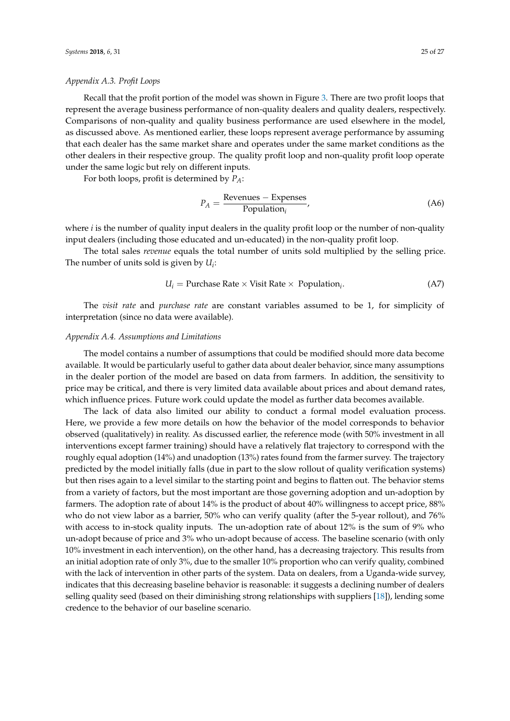#### *Appendix A.3. Profit Loops*

Recall that the profit portion of the model was shown in Figure [3.](#page-8-2) There are two profit loops that represent the average business performance of non-quality dealers and quality dealers, respectively. Comparisons of non-quality and quality business performance are used elsewhere in the model, as discussed above. As mentioned earlier, these loops represent average performance by assuming that each dealer has the same market share and operates under the same market conditions as the other dealers in their respective group. The quality profit loop and non-quality profit loop operate under the same logic but rely on different inputs.

For both loops, profit is determined by *PA*:

$$
P_A = \frac{\text{Revenues} - \text{Expenses}}{\text{Population}_i},\tag{A6}
$$

where *i* is the number of quality input dealers in the quality profit loop or the number of non-quality input dealers (including those educated and un-educated) in the non-quality profit loop.

The total sales *revenue* equals the total number of units sold multiplied by the selling price. The number of units sold is given by *U<sup>i</sup>* :

$$
U_i = \text{Purchase Rate} \times \text{Visit Rate} \times \text{Population}_i. \tag{A7}
$$

The *visit rate* and *purchase rate* are constant variables assumed to be 1, for simplicity of interpretation (since no data were available).

#### *Appendix A.4. Assumptions and Limitations*

The model contains a number of assumptions that could be modified should more data become available. It would be particularly useful to gather data about dealer behavior, since many assumptions in the dealer portion of the model are based on data from farmers. In addition, the sensitivity to price may be critical, and there is very limited data available about prices and about demand rates, which influence prices. Future work could update the model as further data becomes available.

The lack of data also limited our ability to conduct a formal model evaluation process. Here, we provide a few more details on how the behavior of the model corresponds to behavior observed (qualitatively) in reality. As discussed earlier, the reference mode (with 50% investment in all interventions except farmer training) should have a relatively flat trajectory to correspond with the roughly equal adoption (14%) and unadoption (13%) rates found from the farmer survey. The trajectory predicted by the model initially falls (due in part to the slow rollout of quality verification systems) but then rises again to a level similar to the starting point and begins to flatten out. The behavior stems from a variety of factors, but the most important are those governing adoption and un-adoption by farmers. The adoption rate of about 14% is the product of about 40% willingness to accept price, 88% who do not view labor as a barrier, 50% who can verify quality (after the 5-year rollout), and 76% with access to in-stock quality inputs. The un-adoption rate of about 12% is the sum of 9% who un-adopt because of price and 3% who un-adopt because of access. The baseline scenario (with only 10% investment in each intervention), on the other hand, has a decreasing trajectory. This results from an initial adoption rate of only 3%, due to the smaller 10% proportion who can verify quality, combined with the lack of intervention in other parts of the system. Data on dealers, from a Uganda-wide survey, indicates that this decreasing baseline behavior is reasonable: it suggests a declining number of dealers selling quality seed (based on their diminishing strong relationships with suppliers [\[18\]](#page-25-15)), lending some credence to the behavior of our baseline scenario.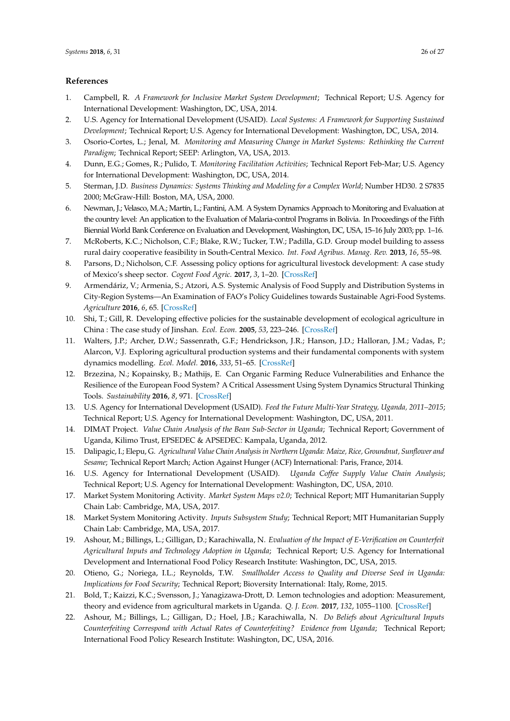# **References**

- <span id="page-25-0"></span>1. Campbell, R. *A Framework for Inclusive Market System Development*; Technical Report; U.S. Agency for International Development: Washington, DC, USA, 2014.
- <span id="page-25-1"></span>2. U.S. Agency for International Development (USAID). *Local Systems: A Framework for Supporting Sustained Development*; Technical Report; U.S. Agency for International Development: Washington, DC, USA, 2014.
- <span id="page-25-2"></span>3. Osorio-Cortes, L.; Jenal, M. *Monitoring and Measuring Change in Market Systems: Rethinking the Current Paradigm*; Technical Report; SEEP: Arlington, VA, USA, 2013.
- <span id="page-25-3"></span>4. Dunn, E.G.; Gomes, R.; Pulido, T. *Monitoring Facilitation Activities*; Technical Report Feb-Mar; U.S. Agency for International Development: Washington, DC, USA, 2014.
- <span id="page-25-4"></span>5. Sterman, J.D. *Business Dynamics: Systems Thinking and Modeling for a Complex World; Number HD30. 2 S7835* 2000; McGraw-Hill: Boston, MA, USA, 2000.
- <span id="page-25-5"></span>6. Newman, J.; Velasco, M.A.; Martín, L.; Fantini, A.M. A System Dynamics Approach to Monitoring and Evaluation at the country level: An application to the Evaluation of Malaria-control Programs in Bolivia. In Proceedings of the Fifth Biennial World Bank Conference on Evaluation and Development, Washington, DC, USA, 15–16 July 2003; pp. 1–16.
- <span id="page-25-6"></span>7. McRoberts, K.C.; Nicholson, C.F.; Blake, R.W.; Tucker, T.W.; Padilla, G.D. Group model building to assess rural dairy cooperative feasibility in South-Central Mexico. *Int. Food Agribus. Manag. Rev.* **2013**, *16*, 55–98.
- <span id="page-25-7"></span>8. Parsons, D.; Nicholson, C.F. Assessing policy options for agricultural livestock development: A case study of Mexico's sheep sector. *Cogent Food Agric.* **2017**, *3*, 1–20. [\[CrossRef\]](http://dx.doi.org/10.1080/23311932.2017.1313360)
- <span id="page-25-8"></span>9. Armendáriz, V.; Armenia, S.; Atzori, A.S. Systemic Analysis of Food Supply and Distribution Systems in City-Region Systems—An Examination of FAO's Policy Guidelines towards Sustainable Agri-Food Systems. *Agriculture* **2016**, *6*, 65. [\[CrossRef\]](http://dx.doi.org/10.3390/agriculture6040065)
- 10. Shi, T.; Gill, R. Developing effective policies for the sustainable development of ecological agriculture in China : The case study of Jinshan. *Ecol. Econ.* **2005**, *53*, 223–246. [\[CrossRef\]](http://dx.doi.org/10.1016/j.ecolecon.2004.08.006)
- <span id="page-25-9"></span>11. Walters, J.P.; Archer, D.W.; Sassenrath, G.F.; Hendrickson, J.R.; Hanson, J.D.; Halloran, J.M.; Vadas, P.; Alarcon, V.J. Exploring agricultural production systems and their fundamental components with system dynamics modelling. *Ecol. Model.* **2016**, *333*, 51–65. [\[CrossRef\]](http://dx.doi.org/10.1016/j.ecolmodel.2016.04.015)
- <span id="page-25-10"></span>12. Brzezina, N.; Kopainsky, B.; Mathijs, E. Can Organic Farming Reduce Vulnerabilities and Enhance the Resilience of the European Food System? A Critical Assessment Using System Dynamics Structural Thinking Tools. *Sustainability* **2016**, *8*, 971. [\[CrossRef\]](http://dx.doi.org/10.3390/su8100971)
- <span id="page-25-11"></span>13. U.S. Agency for International Development (USAID). *Feed the Future Multi-Year Strategy, Uganda, 2011–2015*; Technical Report; U.S. Agency for International Development: Washington, DC, USA, 2011.
- <span id="page-25-12"></span>14. DIMAT Project. *Value Chain Analysis of the Bean Sub-Sector in Uganda*; Technical Report; Government of Uganda, Kilimo Trust, EPSEDEC & APSEDEC: Kampala, Uganda, 2012.
- 15. Dalipagic, I.; Elepu, G. *Agricultural Value Chain Analysis in Northern Uganda: Maize, Rice, Groundnut, Sunflower and Sesame*; Technical Report March; Action Against Hunger (ACF) International: Paris, France, 2014.
- <span id="page-25-13"></span>16. U.S. Agency for International Development (USAID). *Uganda Coffee Supply Value Chain Analysis*; Technical Report; U.S. Agency for International Development: Washington, DC, USA, 2010.
- <span id="page-25-14"></span>17. Market System Monitoring Activity. *Market System Maps v2.0*; Technical Report; MIT Humanitarian Supply Chain Lab: Cambridge, MA, USA, 2017.
- <span id="page-25-15"></span>18. Market System Monitoring Activity. *Inputs Subsystem Study*; Technical Report; MIT Humanitarian Supply Chain Lab: Cambridge, MA, USA, 2017.
- <span id="page-25-16"></span>19. Ashour, M.; Billings, L.; Gilligan, D.; Karachiwalla, N. *Evaluation of the Impact of E-Verification on Counterfeit Agricultural Inputs and Technology Adoption in Uganda*; Technical Report; U.S. Agency for International Development and International Food Policy Research Institute: Washington, DC, USA, 2015.
- <span id="page-25-17"></span>20. Otieno, G.; Noriega, I.L.; Reynolds, T.W. *Smallholder Access to Quality and Diverse Seed in Uganda: Implications for Food Security*; Technical Report; Bioversity International: Italy, Rome, 2015.
- <span id="page-25-18"></span>21. Bold, T.; Kaizzi, K.C.; Svensson, J.; Yanagizawa-Drott, D. Lemon technologies and adoption: Measurement, theory and evidence from agricultural markets in Uganda. *Q. J. Econ.* **2017**, *132*, 1055–1100. [\[CrossRef\]](http://dx.doi.org/10.1093/qje/qjx009)
- <span id="page-25-19"></span>22. Ashour, M.; Billings, L.; Gilligan, D.; Hoel, J.B.; Karachiwalla, N. *Do Beliefs about Agricultural Inputs Counterfeiting Correspond with Actual Rates of Counterfeiting? Evidence from Uganda*; Technical Report; International Food Policy Research Institute: Washington, DC, USA, 2016.